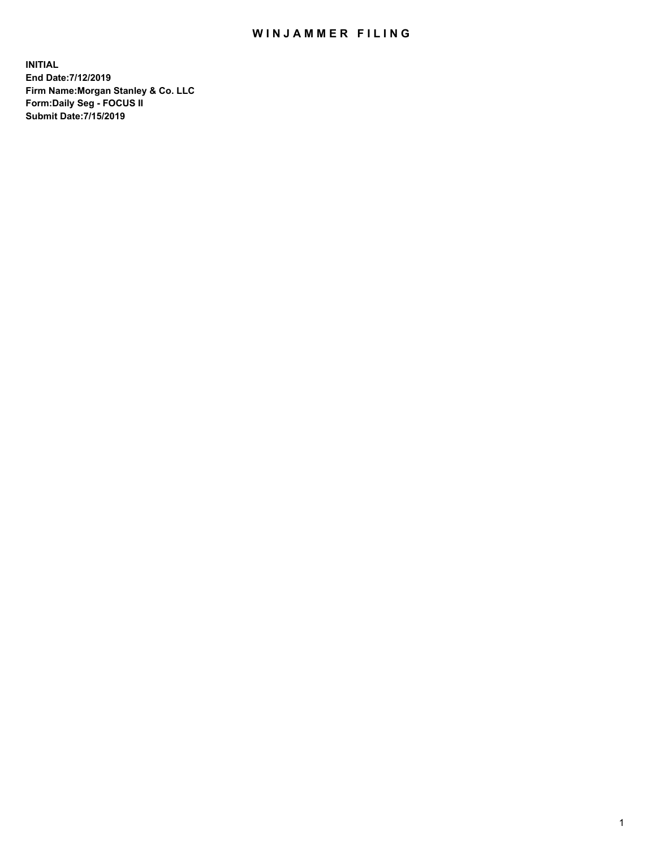## WIN JAMMER FILING

**INITIAL End Date:7/12/2019 Firm Name:Morgan Stanley & Co. LLC Form:Daily Seg - FOCUS II Submit Date:7/15/2019**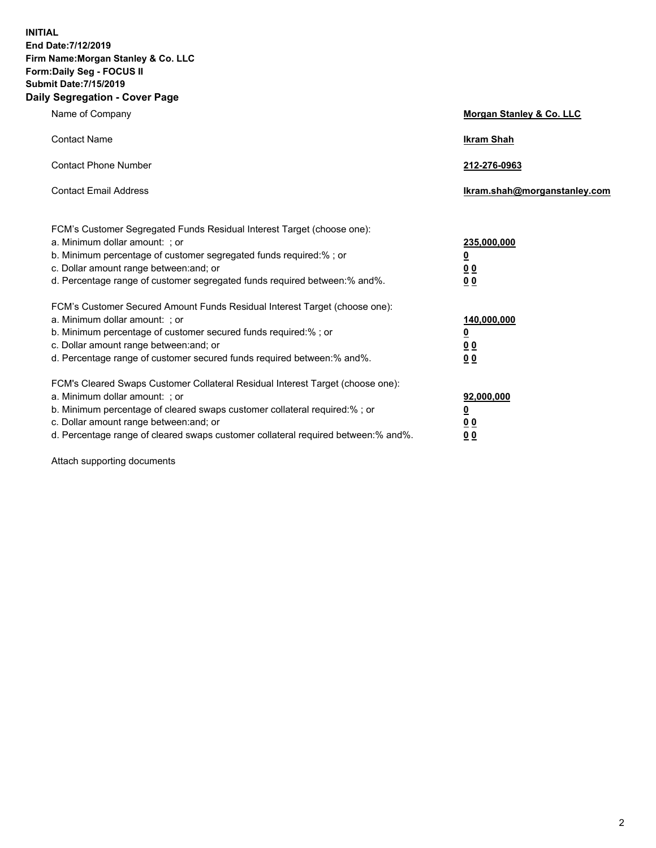**INITIAL End Date:7/12/2019 Firm Name:Morgan Stanley & Co. LLC Form:Daily Seg - FOCUS II Submit Date:7/15/2019 Daily Segregation - Cover Page**

| Name of Company                                                                   | Morgan Stanley & Co. LLC     |
|-----------------------------------------------------------------------------------|------------------------------|
| <b>Contact Name</b>                                                               | <b>Ikram Shah</b>            |
| <b>Contact Phone Number</b>                                                       | 212-276-0963                 |
| <b>Contact Email Address</b>                                                      | Ikram.shah@morganstanley.com |
| FCM's Customer Segregated Funds Residual Interest Target (choose one):            |                              |
| a. Minimum dollar amount: ; or                                                    | 235,000,000                  |
| b. Minimum percentage of customer segregated funds required:% ; or                | <u>0</u>                     |
| c. Dollar amount range between: and; or                                           | <u>0 0</u>                   |
| d. Percentage range of customer segregated funds required between: % and %.       | 0 Q                          |
| FCM's Customer Secured Amount Funds Residual Interest Target (choose one):        |                              |
| a. Minimum dollar amount: ; or                                                    | 140,000,000                  |
| b. Minimum percentage of customer secured funds required:%; or                    | <u>0</u>                     |
| c. Dollar amount range between: and; or                                           | 0 <sub>0</sub>               |
| d. Percentage range of customer secured funds required between:% and%.            | 0 <sub>0</sub>               |
| FCM's Cleared Swaps Customer Collateral Residual Interest Target (choose one):    |                              |
| a. Minimum dollar amount: ; or                                                    | 92,000,000                   |
| b. Minimum percentage of cleared swaps customer collateral required:% ; or        | <u>0</u>                     |
| c. Dollar amount range between: and; or                                           | 0 Q                          |
| d. Percentage range of cleared swaps customer collateral required between:% and%. | 00                           |

Attach supporting documents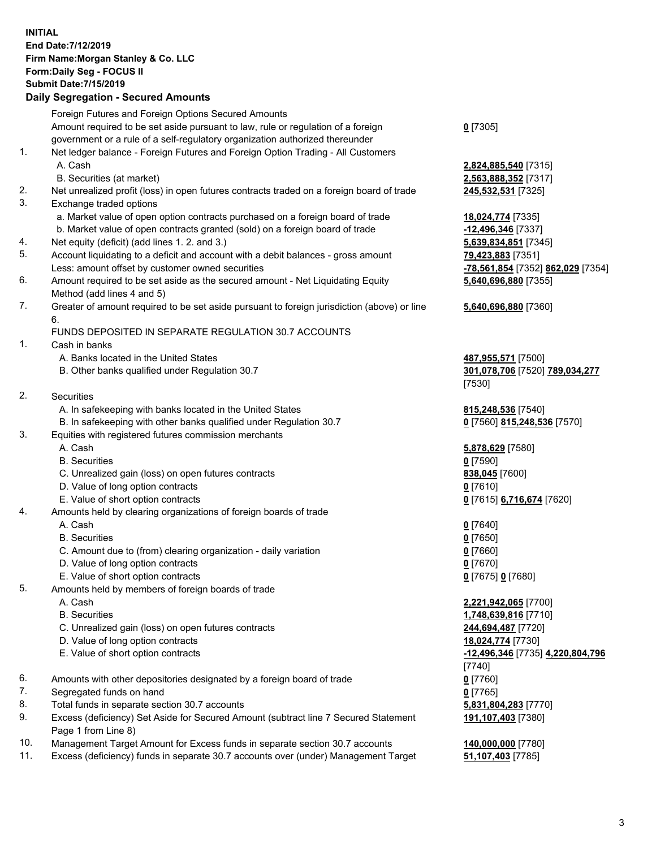## **INITIAL End Date:7/12/2019 Firm Name:Morgan Stanley & Co. LLC Form:Daily Seg - FOCUS II Submit Date:7/15/2019**

## **Daily Segregation - Secured Amounts**

Foreign Futures and Foreign Options Secured Amounts Amount required to be set aside pursuant to law, rule or regulation of a foreign government or a rule of a self-regulatory organization authorized thereunder 1. Net ledger balance - Foreign Futures and Foreign Option Trading - All Customers A. Cash **2,824,885,540** [7315] B. Securities (at market) **2,563,888,352** [7317] 2. Net unrealized profit (loss) in open futures contracts traded on a foreign board of trade **245,532,531** [7325] 3. Exchange traded options a. Market value of open option contracts purchased on a foreign board of trade **18,024,774** [7335] b. Market value of open contracts granted (sold) on a foreign board of trade **-12,496,346** [7337] 4. Net equity (deficit) (add lines 1. 2. and 3.) **5,639,834,851** [7345] 5. Account liquidating to a deficit and account with a debit balances - gross amount **79,423,883** [7351] Less: amount offset by customer owned securities **-78,561,854** [7352] **862,029** [7354] 6. Amount required to be set aside as the secured amount - Net Liquidating Equity Method (add lines 4 and 5) 7. Greater of amount required to be set aside pursuant to foreign jurisdiction (above) or line 6. FUNDS DEPOSITED IN SEPARATE REGULATION 30.7 ACCOUNTS 1. Cash in banks A. Banks located in the United States **487,955,571** [7500] B. Other banks qualified under Regulation 30.7 **301,078,706** [7520] **789,034,277** 2. Securities A. In safekeeping with banks located in the United States **815,248,536** [7540] B. In safekeeping with other banks qualified under Regulation 30.7 **0** [7560] **815,248,536** [7570] 3. Equities with registered futures commission merchants A. Cash **5,878,629** [7580] B. Securities **0** [7590] C. Unrealized gain (loss) on open futures contracts **838,045** [7600] D. Value of long option contracts **0** [7610] E. Value of short option contracts **0** [7615] **6,716,674** [7620] 4. Amounts held by clearing organizations of foreign boards of trade A. Cash **0** [7640] B. Securities **0** [7650] C. Amount due to (from) clearing organization - daily variation **0** [7660] D. Value of long option contracts **0** [7670] E. Value of short option contracts **0** [7675] **0** [7680] 5. Amounts held by members of foreign boards of trade A. Cash **2,221,942,065** [7700] B. Securities **1,748,639,816** [7710] C. Unrealized gain (loss) on open futures contracts **244,694,487** [7720] D. Value of long option contracts **18,024,774** [7730] E. Value of short option contracts **-12,496,346** [7735] **4,220,804,796** 6. Amounts with other depositories designated by a foreign board of trade **0** [7760] 7. Segregated funds on hand **0** [7765] 8. Total funds in separate section 30.7 accounts **5,831,804,283** [7770] 9. Excess (deficiency) Set Aside for Secured Amount (subtract line 7 Secured Statement Page 1 from Line 8)

- 10. Management Target Amount for Excess funds in separate section 30.7 accounts **140,000,000** [7780]
- 11. Excess (deficiency) funds in separate 30.7 accounts over (under) Management Target **51,107,403** [7785]

**0** [7305]

**5,640,696,880** [7355]

## **5,640,696,880** [7360]

[7530]

[7740] **191,107,403** [7380]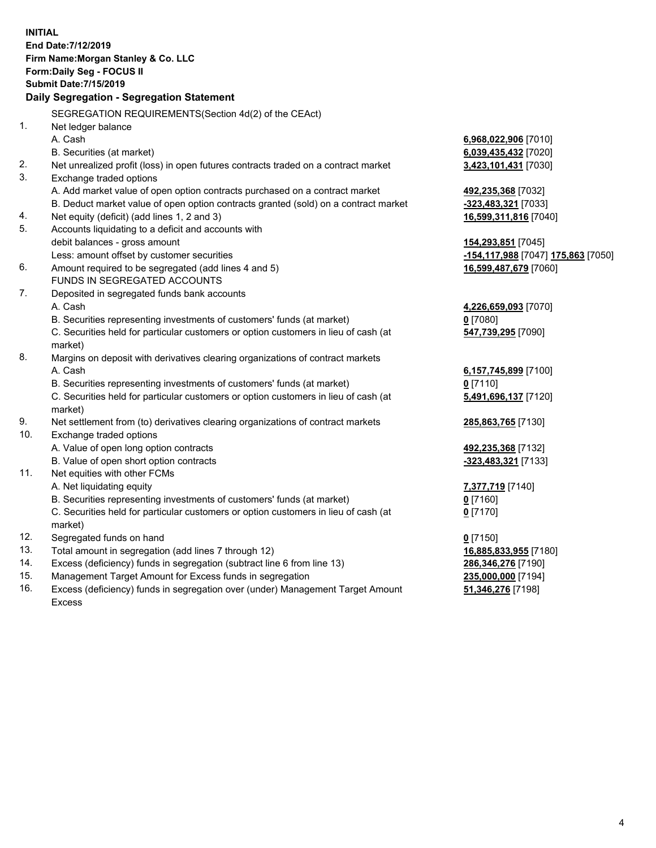**INITIAL End Date:7/12/2019 Firm Name:Morgan Stanley & Co. LLC Form:Daily Seg - FOCUS II Submit Date:7/15/2019 Daily Segregation - Segregation Statement** SEGREGATION REQUIREMENTS(Section 4d(2) of the CEAct) 1. Net ledger balance A. Cash **6,968,022,906** [7010] B. Securities (at market) **6,039,435,432** [7020] 2. Net unrealized profit (loss) in open futures contracts traded on a contract market **3,423,101,431** [7030] 3. Exchange traded options A. Add market value of open option contracts purchased on a contract market **492,235,368** [7032] B. Deduct market value of open option contracts granted (sold) on a contract market **-323,483,321** [7033] 4. Net equity (deficit) (add lines 1, 2 and 3) **16,599,311,816** [7040] 5. Accounts liquidating to a deficit and accounts with debit balances - gross amount **154,293,851** [7045] Less: amount offset by customer securities **-154,117,988** [7047] **175,863** [7050] 6. Amount required to be segregated (add lines 4 and 5) **16,599,487,679** [7060] FUNDS IN SEGREGATED ACCOUNTS 7. Deposited in segregated funds bank accounts A. Cash **4,226,659,093** [7070] B. Securities representing investments of customers' funds (at market) **0** [7080] C. Securities held for particular customers or option customers in lieu of cash (at market) **547,739,295** [7090] 8. Margins on deposit with derivatives clearing organizations of contract markets A. Cash **6,157,745,899** [7100] B. Securities representing investments of customers' funds (at market) **0** [7110] C. Securities held for particular customers or option customers in lieu of cash (at market) **5,491,696,137** [7120] 9. Net settlement from (to) derivatives clearing organizations of contract markets **285,863,765** [7130] 10. Exchange traded options A. Value of open long option contracts **492,235,368** [7132] B. Value of open short option contracts **-323,483,321** [7133] 11. Net equities with other FCMs A. Net liquidating equity **7,377,719** [7140] B. Securities representing investments of customers' funds (at market) **0** [7160] C. Securities held for particular customers or option customers in lieu of cash (at market) **0** [7170] 12. Segregated funds on hand **0** [7150] 13. Total amount in segregation (add lines 7 through 12) **16,885,833,955** [7180] 14. Excess (deficiency) funds in segregation (subtract line 6 from line 13) **286,346,276** [7190] 15. Management Target Amount for Excess funds in segregation **235,000,000** [7194] **51,346,276** [7198]

16. Excess (deficiency) funds in segregation over (under) Management Target Amount Excess